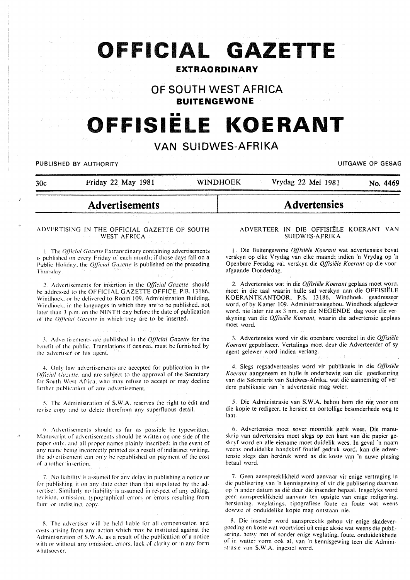# **OFFICIAL GAZETTE**

# **EXTRAORDINARY**

# **OF SOUTH WEST AFRICA**

**BUITENGEWONE** 

# •• **OFFISIELE KOERANT**

# **VAN SUIDWES-AFRIKA**

PUBLISHED BY AUTHORITY **EXAGGED AT AUTHORITY UITGAWE OP GESAG** 

| 30c | Friday 22 May 1981 | <b>WINDHOEK</b> | Vrydag 22 Mei 1981<br>No. 4469 |
|-----|--------------------|-----------------|--------------------------------|
|     |                    |                 |                                |
|     |                    |                 |                                |

# **Advertisements**

#### ADVERTISING IN THE OFFICIAL GAZETTE OF SOUTH WEST AFRICA

1 The *Official Gazette* Extraordinary containing advertisements is published on every Friday of each month; if those days fall on a Public Holiday, the *Official Gazette* is published on the preceding Thursday.

2. Advertisements for insertion in the *Official Gazette* should be addressed to the OFFICIAL GAZETTE OFFICE. P.B. 13186, Windhoek. or be delivered to Room 109. Administration Building, Windhoek. in the languages in which they are to be published, not later than 3 p.m. on the NINTH day before the date of publication of the *Oflicial Gazette* in which they arc to be inserted.

.~. Advertisements arc published in the *0./]icia/ Gazelle* for the hcnclit of the public. Translations if desired. must be furnished by the advertiser or his agent.

4. Only law advertisements are accepted for publication in the *Official Gazette*, and are subject to the approval of the Secretary for South West Africa, who may refuse to accept or may decline further publication of any advertisement.

5. The Administration of S.W.A. reserves the right to edit and revise copy and to delete therefrom any superfluous detail.

6. Advertisements should as far as possible be typewritten. Manuscript of advertisements should be written on one side of the paper only, and all proper names plainly inscribed; in the event of any name being incorrectly printed as a result of indistinct writing. the advertisement can only be republished on payment of the cost of another insertion.

7. No liability is assumed for any delay in publishing a notice or for publishing it on any date other than that stipulated by the advertiser. Similarly no liability is assumed in respect of any editing. revision, omission. typographical errors or errors resulting from faint or indistinct copy.

8. The advertiser will be held liable for all compensation and costs arising from any action which may be instituted against the Administration of S.W.A. as a result of the publication of a notice with or without any omission, errors, lack of clarity or in any form whatsoever.

#### ADVERTEER IN DIE OFFISIELE KOERANT VAN SUIDWES-AFRIKA

**Advertensies** 

1. Die Buitengewone *0./Jisie/e Koerant* wat advertensies bevat verskyn op elke Vrydag van elke maand; indien 'n Vrydag op 'n Openbare Feesdag val. verskyn die *Offisiële Koerant* op die voorafgaande Donderdag.

2. Advertensies wat in die Offisiële Koerant geplaas moet word, moet in die taal waarin hulle sal verskyn aan die OFFISIELE KOERANTKANTOOR, P.S. 13186. Windhoek, geadresseer word, of by Kamer 109. Administrasiegebou. Windhoek afgelewer word. nie later nie as 3 nm. op die NEGENDE dag voor die verskyning van die *Offisiële Koerant*, waarin die advertensie geplaas moet word.

3. Advertensies word vir die openbare voordeel in die *0./Jisie/e*  Koerant gepubliseer. Vertalings moet deur die Adverteerder of sy agent gelewer word indien verlang.

4. Slegs regsadvertensies word vir publikasie in die *0./Jisiele Koerant* aangeneem en hulle is onderhewig aan die goedkeuring van die Sekretaris van Suidwes-Afrika. wat die aanneming of verdcre publikasie van 'n advertensie mag weier.

5. Die Administrasie van S.W.A. behou hom die reg voor om die kopie te redigeer, te hersien en oortollige besonderhede weg te laat.

6. Advertensies moet sover moontlik getik wees. Die manuskrip van advertensies moet slegs op een kant van die papier geskryf word en aile eiename moet duidelik wees. In geval 'n naam weens onduidelike handskrif foutief gedruk word, kan die advertcnsie slegs dan herdruk word as die koste van 'n nuwe plasing betaal word.

7. Geen aanspreeklikheid word aanvaar vir enige vertraging in die publisering van 'n kennisgewing of vir die publisering daarvan op ·n andcr datum as die deur die insender bepaal. Insgelyks word gecn aanspreeklikheid aanvaar ten opsigte van enige redigering. hersicning. weglatings. tipografiese foute en foute wat weens dowwc of onduidelike kopie mag ontstaan nie.

8. Die insender word aanspreeklik gehou vir enige skadevergoeding en koste wat voortvloei uit enige aksie wat weens die publisering. hctsy met of sonder enige weglating. foute. onduidelikhede of in watter vorm ook al. van 'n kennisgewing teen die Administrasie van S.W.A. ingestel word.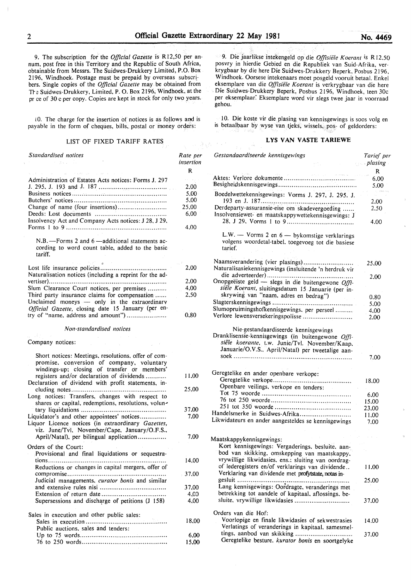9. The subscription for the *Official Gazette* is R 12,50 per annum, post free in this Territory and the Republic of South Africa, obtainable from Messrs. The Suidwes-Drukkery Limited, P.O. Box 2I96, Windhoek. Postage must be prepaid by overseas subscribers. Single copies of the *Official Gazette* may be obtained from Tre Suidwes-Drukkery, Limited. P. 0. Box 2196, Windhoek, at the pr ce of 30 c per copy. Copies are kept in stock for only two years.

10. The charge for the insertion of notices is as follows and is payable in the form of cheques, bills, postal or money orders:

#### LIST OF FIXED TARIFF RATES

*Standardised notices*  Administration of Estates Acts notices: Forms J. 297 J. 295. J. I93 and J. I87 ................................... . Business notices ................................................. . Butchers' notices ................................................ . Change of name (four insertions) ......................... . Deeds: Lost documents ..................................... . Insolvency Act and Company Acts notices: J 28. J 29. Forms I to 9 .................................................... . N.B. -- Forms 2 and 6 -- additional statements according to word count table, added to the basic tariff. Lost life insurance policies ................................. .. Naturalisation notices (including a reprint for the advertiser) ............................................................. . Slum Clearance Court notices, per premises ........ .. Third party insurance claims for compensation ...... Unclaimed moneys  $-$  only in the extraordinary *Official Gazette, closing date 15 January (per en*try of "name. address and amount") ................... .. *Non-standardised notices*  Company notices: Short notices: Meetings, resolutions, offer of compromise. conversion of company, voluntary windings-up: closing of transfer or members' registers and/or declaration of dividends .......... . Declaration of dividend with profit statements, including notes ................................................. . Long notices: Transfers, changes with respect to shares or capital, redemptions, resolutions, voluntary liquidations ............................................ . Liquidator's and other appointees' notices ............. . Liquor Licence notices (in extraordinary *Gazettes,*  viz. June/Tvl. November/Cape, January/O.F.S., April/Natal), per bilingual application............... Orders of the Court: Provisional and final liquidations or sequestrations ............................................................. . Reductions or changes in capital mergers, offer of compromise ................................................... . Judicial managements, *curator bonis* and similar and extensive rules nisi ................................. .. Extension of return date ................................ .. Supersessions and discharge of petitions (J 158) Sales in execution and other public sales: Sales in execution ......................................... .. Public auctions. sales and tenders: Up to 75 words ............................................. . 76 to 250 words ............................................ . *Rate per insertion*  R 2.00 5,00 5.00 25.00 6.00 4.00 2.00 2.00 4,00 2.50 0,80 1I.OO 25.00 37.00 7.00 7,00 14,00 37.00 37,00 4,<sub>c</sub>o 4,00 18,00 6.00 I5.00

9. Die jaarlikse intekengeld op die *Offisiele K oerant* is R 12.50 posvry in hierdie Gebied en die Republiek van Suid-Afrika, verkrygbaar by die here Die Suidwes-Drukkery Beperk, Posbus 2I96. Windhoek. Oorsese intekenaars moet posgeld vooruit betaal. Enkel eksemplare van die Offisiële Koerant is verkrygbaar van die here Die Suidwes-Drukkery Beperk, Posbus 2196, Windhoek, teen 30c per eksemplaar: Eksemplare word vir slegs twee jaar in voorraad gehou.

10. Die koste vir die plasing van kennisgewings is soos volg en is betaalbaar by wyse van tjeks, wissels, pos- of geldorders:

# **LYS VAN VASTE TARIEWE**

| ue per<br>sertion | Gestandaardiseerde kennisgewings                                                                                                                          | Tarief per<br><i>plasing</i> |
|-------------------|-----------------------------------------------------------------------------------------------------------------------------------------------------------|------------------------------|
| R                 |                                                                                                                                                           | R                            |
|                   |                                                                                                                                                           | 6.00                         |
| 2,00              |                                                                                                                                                           | 5.00                         |
| 5,00              | Boedelwettekennisgewings: Vorms J. 297, J. 295, J.                                                                                                        |                              |
| 5,00              |                                                                                                                                                           | 2,00                         |
| :5,00<br>6,00     | Derdeparty-assuransie-eise om skadevergoeding<br>Insolvensiewet- en maatskappywettekennisgewings: J                                                       | 2.50                         |
| 4,00              |                                                                                                                                                           | 4.00                         |
|                   | L.W. - Vorms 2 en $6$ - by komstige verklarings<br>volgens woordetal-tabel, toegevoeg tot die basiese<br>tarief.                                          |                              |
| 2,00              | Naamsverandering (vier plasings)<br>Naturalisasiekennisgewings (insluitende 'n herdruk vir                                                                | 25,00                        |
| 2,00              | Onopgeëiste geld - slegs in die buitengewone Offi-                                                                                                        | 2.00                         |
| 4,00              | siële Koerant, sluitingsdatum 15 Januarie (per in-                                                                                                        |                              |
| 2,50              | skrywing van "naam, adres en bedrag")                                                                                                                     | 0.80                         |
|                   |                                                                                                                                                           | 5.00                         |
|                   | Slumopruimingshofkennisgewings, per perseel                                                                                                               | 4,00                         |
| 0,80              | Verlore lewensversekeringspolisse                                                                                                                         | 2.00                         |
|                   | Dranklisensie-kennisgewings (in buitengewone Offi-<br>siële koerante. t.w. Junie/Tvl. November/Kaap.<br>Januarie/O.V.S., April/Natal) per tweetalige aan- | 7.00                         |
| 11.00             | Geregtelike en ander openbare verkope:                                                                                                                    |                              |
|                   | Openbare veilings, verkope en tenders:                                                                                                                    | 18,00                        |
| 25,00             |                                                                                                                                                           | 6.00                         |
|                   |                                                                                                                                                           | 15.00                        |
| 37.00             |                                                                                                                                                           | 23,00                        |
| 7.00              | Handelsmerke in Suidwes-Afrika                                                                                                                            | 11.00                        |
|                   | Likwidateurs en ander aangesteldes se kennisgewings                                                                                                       | 7.00                         |
|                   |                                                                                                                                                           |                              |
| 7.00              | Maatskappykennisgewings:                                                                                                                                  |                              |
|                   | Kort kennisgewings: Vergaderings, besluite, aan-                                                                                                          |                              |
|                   | bod van skikking, omskepping van maatskappy.                                                                                                              |                              |
| 14.00             | vrywillige likwidasies, ens.: sluiting van oordrag-                                                                                                       |                              |
|                   | of lederegisters en/of verklarings van dividende<br>Verklaring van dividende met profytstate, notas in-                                                   | 11.00                        |
| 37,00             | gesluit                                                                                                                                                   | 25,00                        |
| 37,00             | Lang kennisgewings: Oordragte, veranderings met                                                                                                           |                              |
| 4,00              | betrekking tot aandele of kapitaal, aflossings, be-                                                                                                       |                              |
| 4,00              | sluite, vrywillige likwidasies                                                                                                                            | 37.00                        |
|                   | Orders van die Hof:                                                                                                                                       |                              |
|                   | Voorlopige en finale likwidasies of sekwestrasies                                                                                                         |                              |
| 18,00             | Verlatings of veranderings in kapitaal, samesmel-                                                                                                         | 14.00                        |
| 6,00              | tings, aanbod van skikking                                                                                                                                | 37.00                        |
| 15.00             | Geregtelike besture. kurator bonis en soortgelyke                                                                                                         |                              |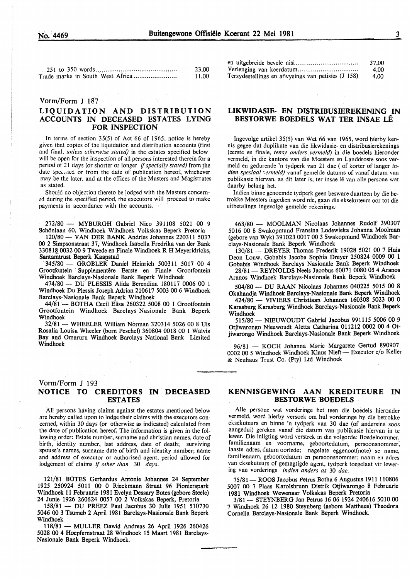| 23.00 |
|-------|
| 11,00 |

#### Vorm/Form J 187

# LIQUIDATION AND DISTRIBUTION ACCOUNTS IN DECEASED ESTATES LYING FOR INSPECTION

In terms of section  $35(5)$  of Act 66 of 1965, notice is hereby given that copies of the liquidation and distribution accounts (first and final. *unless otherwise stated)* in the estates specified below will be open for the inspection of all persons interested therein for a period of 21 days (or shorter or longer *if specially stated)* from the date speculed or from the date of publication hereof, whichever may be the later, and at the offices of the Masters and Magistrates as stated.

Should no objection thereto be lodged with the Masters concerned during the specified period, the executors will proceed to make payments in accordance with the accounts.

272/80 - MYBURGH Gabriel Nico 391108 5021 00 9 Schönlaan 60, Windhoek Windhoek Volkskas Beperk Pretoria

120/80- VANDER BANK Andries Johannes 220311 5037 00 2 Simpsonstraat 37, Windhoek Isabella Fredrika van der Bank 330818 0032 00 9 Tweede en Finale Windhoek R H Meyeridricks, Santamtrust Beperk Kaapstad

.345780- GROBLER Daniel Heinrich 500311 5017 00 4 Grootfontein Supplementêre Eerste en Finale Grootfontein Windhoek Barclays-Nasionale Bank Beperk Windhoek

474/80 - DU PLESSIS Alida Berendina 180117 0006 00 1 Windhoek Du Plessis Joseph Adrian 210617 5003 00 6 Windhoek Barclays-Nasionale Bank Beperk Windhoek

44/81- BOTHA Cecil Elisa 260322 5008 00 1 Grootfontein Grootfontein Windhoek Barclays-Nasionale Bank Beperk Windhoek

32/81- WHEELER William Norman 320314 5026 00 8 Uis Rosalia Louisa Wheeler (born Peschel) 360804 0018 00 1 Walvis Bay and Omaruru Windhoek Barclays National Bank Limited Windhoek

 $\varphi_{\mathrm{GUT}}$  ,  $\varphi_{\mathrm{GUT}}$ 

#### Vorm/Form J 193

# NOTICE TO CREDITORS IN DECEASED ESTATES

All persons having claims against the estates mentioned below are hereby called upon to lodge their claims with the executors concerned, within 30 days (or otherwise as indicated) calculated from the date of publication hereof. The information is given in the following order: Estate number, surname and christian names, date of birth, identity number, last address, date of death; surviving spouse's names, surname date of birth and identity number; name and address of executor or authorised agent, period allowed for lodgement of claims if *other than* 30 *days.* 

121/81 BOTES Gerhardus Antonie Johannes 24 September 1925 250924 5011 00 0 Rieckmann Straat 96 Pionierspark Windhoek 11 Februarie 1981 Evelyn Dessary Botes (gebore Steele) 24 Junie 1926 260624 0057 00 2 Volkskas Beperk, Pretoria

158/81 - DU PREEZ Paul Jacobus 30 Julie 1951 510730 5046 00 3 Tsumeb 2 April 1981 Barclays-Nasionale Bank Beperk Windhoek

118/81 - MULLER Dawid Andreas 26 April 1926 260426 5028 00 4 Hoepfemstraat 28 Windhoek 15 Maart 1981 Barclays-Nasionale Bank Beperk Windhoek.

|                                                    | 37.00 |
|----------------------------------------------------|-------|
|                                                    | 4.00  |
| Tersydestellings en afwysings van petisies (J 158) | 4.00  |

# LIKWIDASIE- EN DISTRIBUSffiREKENING IN BESTORWE BOEDELS WAT TER INSAE LÊ

Ingevolge artikel 35(5) van Wet 66 van 1965, word hierby kennis gegee dat duplikate van die likwidasie- en distribusierekenings (eerste en finale, *tensy anders vermeld)* in die boedels hieronder vermeld, in die kantore van die Meesters en Landdroste soos vermeld en gedurende 'n tydperk van 21 dae ( of korter of Ianger *indien spesiaal vermeld)* vanaf gemelde datums of vanaf datum van publikasie hiervan, as dit later is, ter insae lê van alle persone wat daarby belang het.

Indien binne genoemde tydperk geen besware daarteen by die betrokke Meesters ingedien word nie, gaan die eksekuteurs oor tot die uitbetalings ingevolge gemelde rekcnings.

468/80 - MOOLMAN Nicolaas Johannes Rudolf 390307 5016 00 8 Swakopmund Fransina Lodewieka Johanna Moolman (gebore van Wyk) 391023 0017 00 3 Swakopmund Windhoek Barclays-Nasionale Bank Beperk Windhoek

130/81- DREYER Thomas Frederik 19028 5021 00 7 Huis Deon Louw, Gobabis Jacoba Sophia Dreyer 250824 0009 00 1 Gobabis Windhoek Barclays Nasionale Bank Beperk Windhoek

28/81 - REYNOLDS Neels Jacobus 60071 0080 05 4 Aranos Aranos Windhoek Barclays-Nasionale Bank Beperk Windhoek

504/80- DU RAAN Nicolaas Johannes 040225 5015 00 8 Okahandja Windhoek Barclays-Nasionale Bank Beperk Windhoek

424/80- VIVIERS Christiaan Johannes 160308 5023 00 0 Karasburg Karasburg Windhoek Barclays-Nasionale Bank Beperk Windhoek

515/80- NIEUWOUDT Gabriel Jacobus 991115 5006 00 9 Otjiwarongo Nieuwoudt Aletta Catharina 011212 0002 00 4 Otjiwarongo Windhoek Barclays-Nasionale Bank Beperk Windhoek

96/81 - KOCH Johanna Marie Margarete Gertud 890907 0002 00 5 Windhoek Windhoek Klaus Nieft- Executor c/o Keller & Neuhaus Trust Co. (Pty) Ltd Windhoek

# KENNISGEWING AAN KREDITEURE IN BESTORWE BOEDELS

Aile persone wat vorderinge het teen die boedels hieronder vermeld, word hierby versoek om hul vorderinge by die betrokke eksekuteurs en binne 'n tydperk van 30 dae (of andersins soos aangedui) gereken vanaf die datum van publikasie hiervan in te !ewer. Die inligting word verstrek in die volgorde: Boedelnommer, familienaam en voorname, geboortedatum, persoonsnommer; laaste adres, datum oorlede; nagelate eggenoot(note) se name, familienaam, geboortedatum en persoonsnommer; naam en adres van eksekuteurs of gemagtigde agent, tydperk toegelaat vir lewering van vorderings *indien anders as* 30 *dae.* 

75/81 - ROOS Jacobus Petrus Botha 6 Augustus 1911 110806 5007 00 7 Plaas Karolsbrunn Distrik Otjiwarongo 8 Februarie 1981 Windhoek Wewenaar Volkskas Beperk Pretoria

3/81 - STEYNBERG Jan Petrus 16 06 1924 240616 5010 00 7 Windhoek 26 12 1980 Steynberg (gebore Mattheus) Theodora Cornelia Barclays-Nasionale Bank Beperk Windhoek.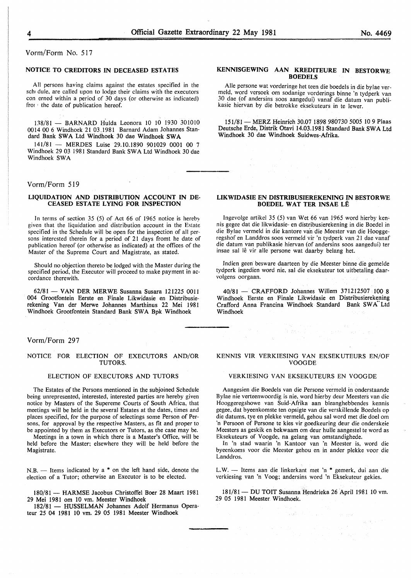## Vorm/Form No. 517

#### NOTICE TO CREDITORS IN DECEASED ESTATES

All persons having claims against the estates specified in the *scht* dule, are called upon to lodge their claims with the executors con erned within a period of 30 days (or otherwise as indicated) fror ' the date of publication hereof.

138/81 - BARNARD Hulda Leonora 10 10 1930 301010 0014 00 6 Windhoek 21 03.1981 Barnard Adam Johannes Standard Bank SWA Ltd Windhoek 30 dae Windhoek SWA

141/81 - MERDES Luise 29.10.1890 901029 0001 00 7 Windhoek 29 03 1981 Standard Bank SW A Ltd Windhoek 30 dae Windhoek SWA

#### Vorm/Form 519

#### LIQUIDATION AND DISTRIBUTION ACCOUNT IN DE-CEASED ESTATE LYING FOR INSPECTION

In terms of section 35 (5) of Act 66 of 1965 notice is hereby given that the liquidation and distribution account in the Estate specified in the Schedule will be open for the inspection of all persons interested therein for a period of 21 days fromt he date of publication hereof (or otherwise as indicated) at the offices of the Master of the Supreme Court and Magistrate, as stated.

Should no objection thereto be lodged with the Master during the specified period, the Executor will proceed to make payment in accordance therewith.

62/81 - VAN DER MERWE Susanna Susara 121225 0011 004 Grootfontein Eerste en Finale Likwidasie en Distribusierekening Van der Merwe Johannes Marthinus 22 Mei 1981 Windhoek Grootfontein Standard Bank SWA Bpk Windhoek

Vorm/Form 297

#### NOTICE FOR ELECTION OF EXECUTORS AND/OR TUTORS.

#### ELECTION OF EXECUTORS AND TUTORS

The Estates of the Persons mentioned in the subjoined Schedule being unrepresented, interested, interested parties are hereby given notice by Masters of the Supereme Courts of South Africa, that meetings will be held in the several Estates at the dates, times and places specified, for the purpose of selectings some Person of Persons, for approval by the respective Masters, as fit and proper to be appointed by them as Executors or Tutors, as the case may be.

Meetings in a town in which there is a Master's Office, will be held before the Master; elsewhere they will be held before the Magistrate.

 $N.B.$  - Items indicated by a  $*$  on the left hand side, denote the election of a Tutor; otherwise an Executor is to be elected.

180/81- HARMSE Jacobus Christoffel Boer 28 Maart 1981 29 Mei 1981 om 10 vm. Meester Windhoek

182/81 - HUSSELMAN Johannes Adolf Hermanus Operateur 25 04 1981 10 vm. 29 *05* 1981 Meester Windhoek

#### KENNISGEWING AAN KREDITEURE IN BESTORWE **BOEDELS**

Aile persone wat vorderinge het teen die boedels in die bylae ver-30 dae (of andersins soos aangedui) vanaf die datum van publikasie hiervan by die betrokke eksekuteurs in te lewer.

151/81- MERZ Heinrich 30.07 1898 980730 *5005* 10 9 Plaas Deutsche Erde, Distrik Otavi 14.03.1981 Standard Bank SWA Ltd Windhoek 30 dae Windhoek Suidwes-Afrika.

#### LIKWIDASIE EN DISTRIBUSIEREKENING IN BESTORWE BOEDEL WAT TER INSAE LE

Ingevolge artikel 35 (5) van Wet 66 van 1965 word hierby ken~ nis gegee dat die likwidasie- en distribusierekening in die Boedel in die Bylae vermeld in die kantore van die Meester van die Hooggeregshof en Landdros soos vermeld vir 'n tydperk van 21 dae vanaf die datum van publikasie hiervan (of andersins soos aangedui) ter insae sal lê vir alle persone wat daarby belang het.

Indien geen besware daarteen by die Meester binne die gemelde tydperk ingedien word nie, sal die eksekuteur tot uitbetaling daarvolgens oorgaan.

40/81 - CRAFFORD Johannes Willem 371212507 100 8 Windhoek Eerste en Finale Likwidasie en Distribusierekening Crafford Anna Francina Windhoek Standard Bank SWA Ltd Windhoek

#### KENNIS VIR VERKIESING VAN EKSEKUTEURS EN/OF VOOGDE

inse i valle<br>Tempo ( Superior Corp.<br>Se possible

 $\sim$   $\sim$ 

#### VERKIESING VAN EKSEKUTEURS EN VOOGDE

Aangesien die Boedels van die Persone vermeld in onderstaande Bylae nie verteenwoordig is nie, word hierby deur Meesters van die Hooggeregshowe van Suid-Afrika aan bleanghebbendes kennis gegee, dat byeenkomste ten opsigte van die verskillende Boedels op die datums, tye en plekke vermeld, gehou sal word met die doe! om 'n Persoon of Persone te kies vir goedkeuring deur die onderskeie Meesters as geskik en bekwaam om deur hulle aangestel te word as Eksekuteurs of Voogde, na gelang van omstandighede.

In 'n stad waarin 'n Kantoor van 'n Meester is, word die byeenkoms voor die Meester gehou en in ander plekke voor die Landdros.

L.W. - Items aan die linkerkant met 'n \* gemerk, dui aan die verkiesing van 'n Voog; andersins word 'n Eksekuteur gekies.

181/81- DU TOIT Susanna Hendrieka 26 April 1981 10 vm. 29 *05* 1981 Meester Windhoek.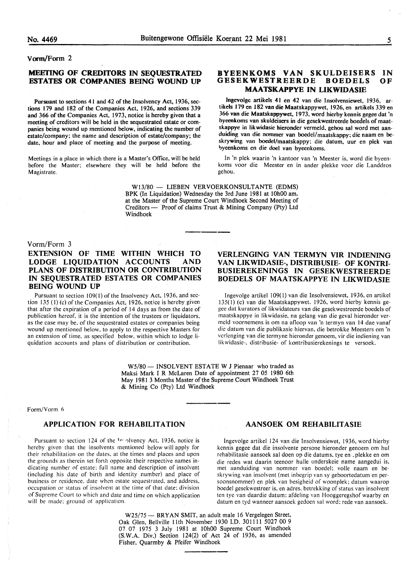# Vonn/Form 2

# MEETING OF CREDITORS IN SEQUESTRATED ESTATES OR COMPANIES BEING WOUND UP

Pursuant to sections 41 and 42 of the Insolvency Act. 1936, sections 179 and 182 of the Companies Act, 1926, and sections 339 and 366 of the Companies Act, 1973, notice is hereby given that a meeting of creditors will be held in the sequestrated estate or companies being wound up mentioned below, indicating the number of estate/company; the name and description of estate/company; the date, hour and place of meeting and the purpose of meeting.

Meetings in a place in which there is a Master's Office, will be held before the Master; elsewhere they will be held before the Magistrate.

#### BYEENKOMS VAN SKULDEISERS<br>GESEKWESTREERDE BOEDELS **GESEKWESTREERDE** MAATSKAPPYE IN LIKWIDASIE IN OF

lngevolge artikels 41 en 42 van die Insolvensiewet, 1936, artikels 179 en 182 van die Maatskappywet, 1926, en artikels 339 en 366 van die Maatskappywet, 1973, word hierby kennis gegee dat 'n byeenkoms van skuldeisers in die gesekwestreerde boedels of maatskappye in likwidasie hieronder vermeld, gehou sal word met aanduiding van die nommer van boedel/maatskappy; die naam en beskrywing van boedel/maatskappy; die datum, uur en plek van bveenkoms en die doel van byeenkoms.

In 'n plek waarin 'n kantoor van 'n Meester is, word die byeenkoms voor die Meester en in ander plekke voor die Landdros gehou.

W13/80 - LIEBEN VERVOERKONSULTANTE (EDMS) BPK (In Liquidation) Wednesday the 3rd June 1981 at lOhOO am. at the Master of the Supreme Court Windhoek Second Meeting of Creditors - Proof of claims Trust & Mining Company (Pty) Ltd Windhoek

#### Vorm/Form 3

EXTENSION OF TIME WITHIN WHICH TO LODGE LIQUIDATION ACCOUNTS AND PLANS OF DISTRIBUTION OR CONTRIBUTION IN SEQUESTRATED ESTATES OR COMPANIES BEING WOUND UP

Pursuant to section 109(1) of the Insolvency Act, 1936, and section 135 (I) (c) of the Companies Act, 1926. notice is hereby given that after the expiration of a period of 14 days as from the date of publication hereof. it is the intention of the trustees or liquidators. as the case may be. of the sequestrated estates or companies being wound up mentioned below, to apply to the respective Masters for an extension of time. as specified below. within which to lodge liquidation accounts and plans of distribution or contribution.

# VERLENGING VAN TERMYN VIR INDIENING VAN LIKWIDASIE-, DISTRIBUSIE- OF KONTRI-BUSIEREKENINGS IN GESEKWESTREERDE BOEDELS OF MAATSKAPPYE IN LIKWIDASIE

lngevolge artikel 109(1) van die Insolvensiewet, 1936, en artikel 135( I) (c) van die Maatskappywet. 1926, word hierby kennis gegec dat kurators of likwidateurs van die gesekwestreerde boedels of maatskappye in likwidasie. na gelang van die geval hieronder vermcld voornemens is om na afloop van 'n termyn van 14 dae vanaf die datum van die publikasie hiervan. die betrokke Meesters om 'n verlcnging van die termyne hieronder genoem, vir die indiening van lik widasie-, distribusie- of kontribusierekenings te versoek.

W5/80 - INSOLVENT ESTATE W J Pienaar who traded as Maksi Mark I R McLaren Date of appointment 27 05 1980 6th May 1981 3 Months Master of the Supreme Court Windhoek Trust & Mining Co (Pty) Ltd Windhoek

#### Form/Vorm 6

# APPLICATION FOR REHABILITATION

Pursuant to section 124 of the <sup>1</sup>r olvency Act. 1936, notice is hereby given that the insolvents mentioned below will apply for their rehabilitation on the dates. at the times and places and upon the grounds as therein set forth opposite their respective names indicating number of estate: full name and description of insolvent (including his date of birth and identity number) and place of business or residence. date when estate sequestrated. and address. occupation or status of insolvent at the time of that date: division of Supreme Court to which and date and time on which application will be made: ground of application.

#### AANSOEK OM REHABILITASIE

Ingevolge artikel 124 van die Insolvensiewet, 1936, word hierby kennis gegee dat die insolvente persone hieronder genoem om hul rehabilitasie aansoek sal doen op die datums. tye en ,plekke en om die redes wat daarin teenoor hulle onderskeie name aangedui is. met aanduiding van nommer van boedel: voile naam en beskrywing van insolvent (met inbegrip van sy geboortedatum en persoonsnommer) en pick van besigheid of woonplek; datum waarop boedel gesekwestreer is. en adres. betrekking of status van insolvent ten tye van daardie datum: afdeling van Hooggeregshof waarby en datum en tyd wanneer aansoek gedoen sal word: rede van aansoek.

W25/75 - BRYAN SMIT, an adult male 16 Vergelegen Street, Oak Glen, Bellville lith November 1930 I.D. 301111 5027 00 9 07 07 1975 3 July 1981 at 10h00 Supreme Court Windhoek (S.W.A. Div.) Section 124(2) of Act 24 of 1936, as amended Fisher, Quarmby & Pfeifer Windhoek